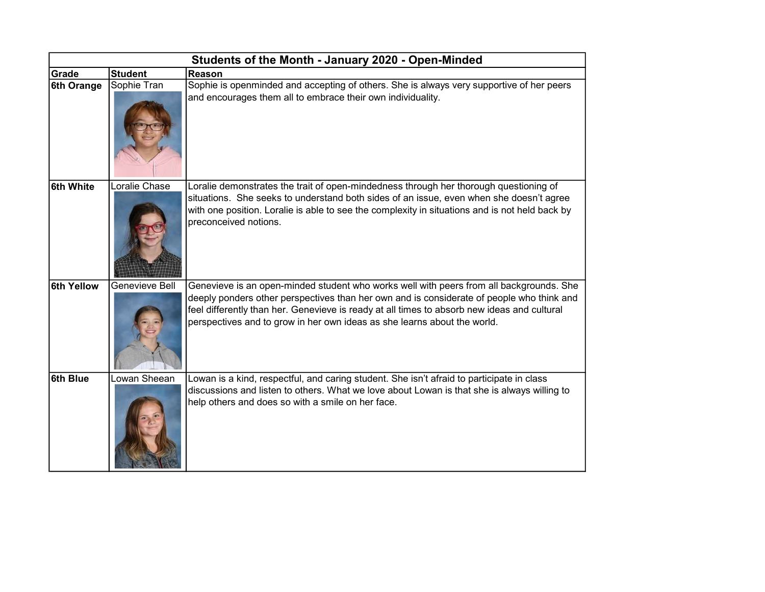| Students of the Month - January 2020 - Open-Minded |                |                                                                                                                                                                                                                                                                                                                                                                 |  |  |  |
|----------------------------------------------------|----------------|-----------------------------------------------------------------------------------------------------------------------------------------------------------------------------------------------------------------------------------------------------------------------------------------------------------------------------------------------------------------|--|--|--|
| Grade                                              | <b>Student</b> | Reason                                                                                                                                                                                                                                                                                                                                                          |  |  |  |
| 6th Orange                                         | Sophie Tran    | Sophie is openminded and accepting of others. She is always very supportive of her peers<br>and encourages them all to embrace their own individuality.                                                                                                                                                                                                         |  |  |  |
| 6th White                                          | Loralie Chase  | Loralie demonstrates the trait of open-mindedness through her thorough questioning of<br>situations. She seeks to understand both sides of an issue, even when she doesn't agree<br>with one position. Loralie is able to see the complexity in situations and is not held back by<br>preconceived notions.                                                     |  |  |  |
| <b>6th Yellow</b>                                  | Genevieve Bell | Genevieve is an open-minded student who works well with peers from all backgrounds. She<br>deeply ponders other perspectives than her own and is considerate of people who think and<br>feel differently than her. Genevieve is ready at all times to absorb new ideas and cultural<br>perspectives and to grow in her own ideas as she learns about the world. |  |  |  |
| 6th Blue                                           | Lowan Sheean   | Lowan is a kind, respectful, and caring student. She isn't afraid to participate in class<br>discussions and listen to others. What we love about Lowan is that she is always willing to<br>help others and does so with a smile on her face.                                                                                                                   |  |  |  |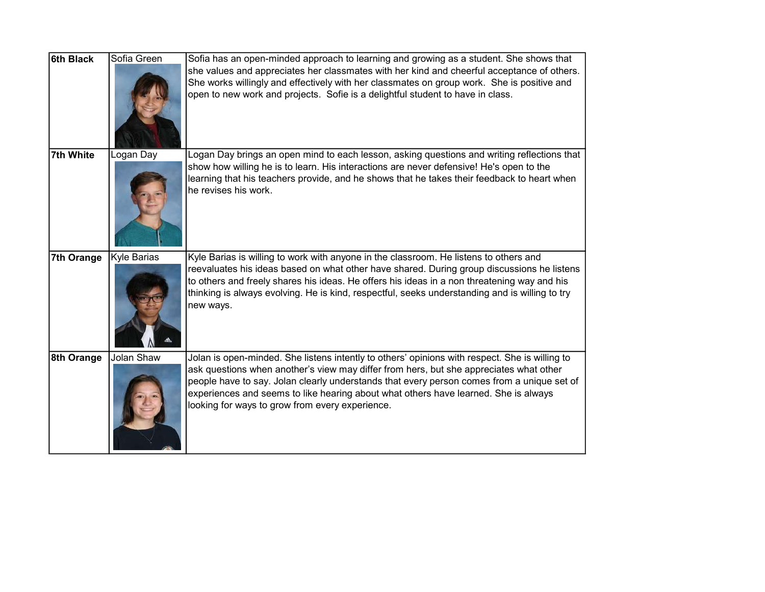| <b>6th Black</b> | Sofia Green | Sofia has an open-minded approach to learning and growing as a student. She shows that<br>she values and appreciates her classmates with her kind and cheerful acceptance of others.<br>She works willingly and effectively with her classmates on group work. She is positive and<br>open to new work and projects. Sofie is a delightful student to have in class.                                                             |
|------------------|-------------|----------------------------------------------------------------------------------------------------------------------------------------------------------------------------------------------------------------------------------------------------------------------------------------------------------------------------------------------------------------------------------------------------------------------------------|
| 7th White        | Logan Day   | Logan Day brings an open mind to each lesson, asking questions and writing reflections that<br>show how willing he is to learn. His interactions are never defensive! He's open to the<br>learning that his teachers provide, and he shows that he takes their feedback to heart when<br>he revises his work.                                                                                                                    |
| 7th Orange       | Kyle Barias | Kyle Barias is willing to work with anyone in the classroom. He listens to others and<br>reevaluates his ideas based on what other have shared. During group discussions he listens<br>to others and freely shares his ideas. He offers his ideas in a non threatening way and his<br>thinking is always evolving. He is kind, respectful, seeks understanding and is willing to try<br>new ways.                                |
| 8th Orange       | Jolan Shaw  | Jolan is open-minded. She listens intently to others' opinions with respect. She is willing to<br>ask questions when another's view may differ from hers, but she appreciates what other<br>people have to say. Jolan clearly understands that every person comes from a unique set of<br>experiences and seems to like hearing about what others have learned. She is always<br>looking for ways to grow from every experience. |